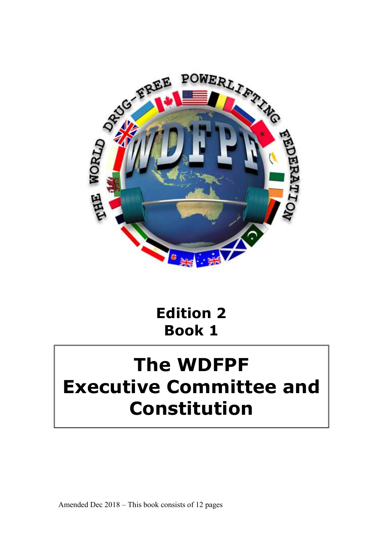

# **Edition 2 Book 1**

# **The WDFPF Executive Committee and Constitution**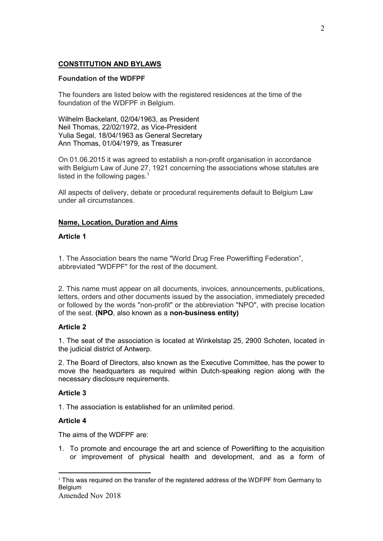# **CONSTITUTION AND BYLAWS**

## **Foundation of the WDFPF**

The founders are listed below with the registered residences at the time of the foundation of the WDFPF in Belgium.

Wilhelm Backelant, 02/04/1963, as President Neil Thomas, 22/02/1972, as Vice-President Yulia Segal, 18/04/1963 as General Secretary Ann Thomas, 01/04/1979, as Treasurer

On 01.06.2015 it was agreed to establish a non-profit organisation in accordance with Belgium Law of June 27, 1921 concerning the associations whose statutes are listed in the following pages.<sup>1</sup>

All aspects of delivery, debate or procedural requirements default to Belgium Law under all circumstances.

## **Name, Location, Duration and Aims**

## **Article 1**

1. The Association bears the name "World Drug Free Powerlifting Federation", abbreviated "WDFPF" for the rest of the document.

2. This name must appear on all documents, invoices, announcements, publications, letters, orders and other documents issued by the association, immediately preceded or followed by the words "non-profit" or the abbreviation "NPO", with precise location of the seat. **(NPO**, also known as a **non-business entity)** 

## **Article 2**

1. The seat of the association is located at Winkelstap 25, 2900 Schoten, located in the judicial district of Antwerp.

2. The Board of Directors, also known as the Executive Committee, has the power to move the headquarters as required within Dutch-speaking region along with the necessary disclosure requirements.

# **Article 3**

1. The association is established for an unlimited period.

# **Article 4**

The aims of the WDFPF are:

1. To promote and encourage the art and science of Powerlifting to the acquisition or improvement of physical health and development, and as a form of

<sup>-</sup> $1$  This was required on the transfer of the registered address of the WDFPF from Germany to **Belgium**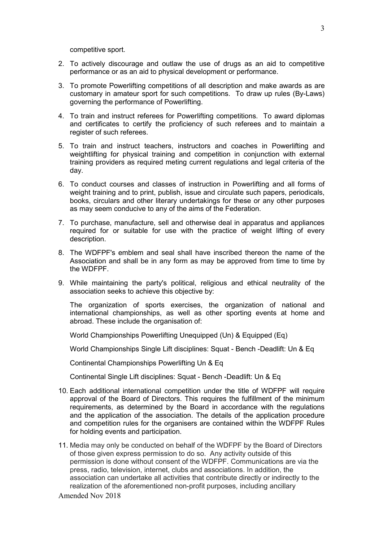competitive sport.

- 2. To actively discourage and outlaw the use of drugs as an aid to competitive performance or as an aid to physical development or performance.
- 3. To promote Powerlifting competitions of all description and make awards as are customary in amateur sport for such competitions. To draw up rules (By-Laws) governing the performance of Powerlifting.
- 4. To train and instruct referees for Powerlifting competitions. To award diplomas and certificates to certify the proficiency of such referees and to maintain a register of such referees.
- 5. To train and instruct teachers, instructors and coaches in Powerlifting and weightlifting for physical training and competition in conjunction with external training providers as required meting current regulations and legal criteria of the day.
- 6. To conduct courses and classes of instruction in Powerlifting and all forms of weight training and to print, publish, issue and circulate such papers, periodicals, books, circulars and other literary undertakings for these or any other purposes as may seem conducive to any of the aims of the Federation.
- 7. To purchase, manufacture, sell and otherwise deal in apparatus and appliances required for or suitable for use with the practice of weight lifting of every description.
- 8. The WDFPF's emblem and seal shall have inscribed thereon the name of the Association and shall be in any form as may be approved from time to time by the WDFPF.
- 9. While maintaining the party's political, religious and ethical neutrality of the association seeks to achieve this objective by:

The organization of sports exercises, the organization of national and international championships, as well as other sporting events at home and abroad. These include the organisation of:

World Championships Powerlifting Unequipped (Un) & Equipped (Eq)

World Championships Single Lift disciplines: Squat - Bench -Deadlift: Un & Eq

Continental Championships Powerlifting Un & Eq

Continental Single Lift disciplines: Squat - Bench -Deadlift: Un & Eq

- 10. Each additional international competition under the title of WDFPF will require approval of the Board of Directors. This requires the fulfillment of the minimum requirements, as determined by the Board in accordance with the regulations and the application of the association. The details of the application procedure and competition rules for the organisers are contained within the WDFPF Rules for holding events and participation.
- 11. Media may only be conducted on behalf of the WDFPF by the Board of Directors of those given express permission to do so. Any activity outside of this permission is done without consent of the WDFPF. Communications are via the press, radio, television, internet, clubs and associations. In addition, the association can undertake all activities that contribute directly or indirectly to the realization of the aforementioned non-profit purposes, including ancillary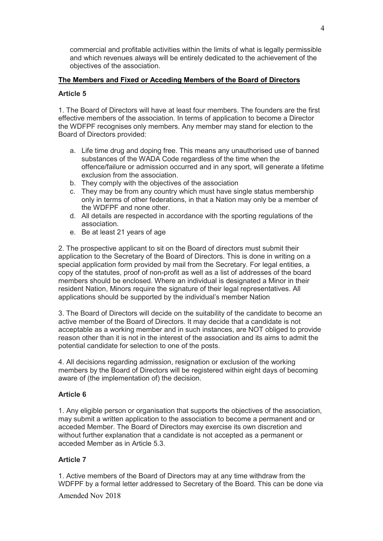commercial and profitable activities within the limits of what is legally permissible and which revenues always will be entirely dedicated to the achievement of the objectives of the association.

# **The Members and Fixed or Acceding Members of the Board of Directors**

# **Article 5**

1. The Board of Directors will have at least four members. The founders are the first effective members of the association. In terms of application to become a Director the WDFPF recognises only members. Any member may stand for election to the Board of Directors provided:

- a. Life time drug and doping free. This means any unauthorised use of banned substances of the WADA Code regardless of the time when the offence/failure or admission occurred and in any sport, will generate a lifetime exclusion from the association.
- b. They comply with the objectives of the association
- c. They may be from any country which must have single status membership only in terms of other federations, in that a Nation may only be a member of the WDFPF and none other.
- d. All details are respected in accordance with the sporting regulations of the association.
- e. Be at least 21 years of age

2. The prospective applicant to sit on the Board of directors must submit their application to the Secretary of the Board of Directors. This is done in writing on a special application form provided by mail from the Secretary. For legal entities, a copy of the statutes, proof of non-profit as well as a list of addresses of the board members should be enclosed. Where an individual is designated a Minor in their resident Nation, Minors require the signature of their legal representatives. All applications should be supported by the individual's member Nation

3. The Board of Directors will decide on the suitability of the candidate to become an active member of the Board of Directors. It may decide that a candidate is not acceptable as a working member and in such instances, are NOT obliged to provide reason other than it is not in the interest of the association and its aims to admit the potential candidate for selection to one of the posts.

4. All decisions regarding admission, resignation or exclusion of the working members by the Board of Directors will be registered within eight days of becoming aware of (the implementation of) the decision.

# **Article 6**

1. Any eligible person or organisation that supports the objectives of the association, may submit a written application to the association to become a permanent and or acceded Member. The Board of Directors may exercise its own discretion and without further explanation that a candidate is not accepted as a permanent or acceded Member as in Article 5.3.

# **Article 7**

1. Active members of the Board of Directors may at any time withdraw from the WDFPF by a formal letter addressed to Secretary of the Board. This can be done via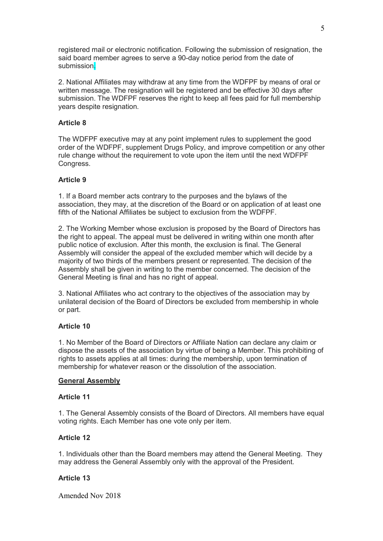registered mail or electronic notification. Following the submission of resignation, the said board member agrees to serve a 90-day notice period from the date of submission.

2. National Affiliates may withdraw at any time from the WDFPF by means of oral or written message. The resignation will be registered and be effective 30 days after submission. The WDFPF reserves the right to keep all fees paid for full membership years despite resignation.

# **Article 8**

The WDFPF executive may at any point implement rules to supplement the good order of the WDFPF, supplement Drugs Policy, and improve competition or any other rule change without the requirement to vote upon the item until the next WDFPF Congress.

# **Article 9**

1. If a Board member acts contrary to the purposes and the bylaws of the association, they may, at the discretion of the Board or on application of at least one fifth of the National Affiliates be subject to exclusion from the WDFPF.

2. The Working Member whose exclusion is proposed by the Board of Directors has the right to appeal. The appeal must be delivered in writing within one month after public notice of exclusion. After this month, the exclusion is final. The General Assembly will consider the appeal of the excluded member which will decide by a majority of two thirds of the members present or represented. The decision of the Assembly shall be given in writing to the member concerned. The decision of the General Meeting is final and has no right of appeal.

3. National Affiliates who act contrary to the objectives of the association may by unilateral decision of the Board of Directors be excluded from membership in whole or part.

## **Article 10**

1. No Member of the Board of Directors or Affiliate Nation can declare any claim or dispose the assets of the association by virtue of being a Member. This prohibiting of rights to assets applies at all times: during the membership, upon termination of membership for whatever reason or the dissolution of the association.

## **General Assembly**

# **Article 11**

1. The General Assembly consists of the Board of Directors. All members have equal voting rights. Each Member has one vote only per item.

## **Article 12**

1. Individuals other than the Board members may attend the General Meeting. They may address the General Assembly only with the approval of the President.

## **Article 13**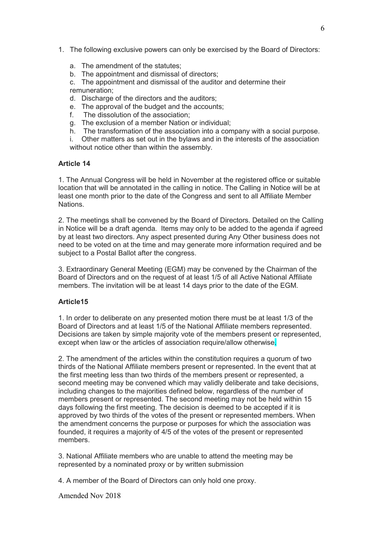- 1. The following exclusive powers can only be exercised by the Board of Directors:
	- a. The amendment of the statutes;
	- b. The appointment and dismissal of directors;

c. The appointment and dismissal of the auditor and determine their remuneration;

- d. Discharge of the directors and the auditors;
- e. The approval of the budget and the accounts;
- f. The dissolution of the association;
- g. The exclusion of a member Nation or individual;
- h. The transformation of the association into a company with a social purpose.

i. Other matters as set out in the bylaws and in the interests of the association without notice other than within the assembly.

## **Article 14**

1. The Annual Congress will be held in November at the registered office or suitable location that will be annotated in the calling in notice. The Calling in Notice will be at least one month prior to the date of the Congress and sent to all Affiliate Member **Nations** 

2. The meetings shall be convened by the Board of Directors. Detailed on the Calling in Notice will be a draft agenda. Items may only to be added to the agenda if agreed by at least two directors. Any aspect presented during Any Other business does not need to be voted on at the time and may generate more information required and be subject to a Postal Ballot after the congress.

3. Extraordinary General Meeting (EGM) may be convened by the Chairman of the Board of Directors and on the request of at least 1/5 of all Active National Affiliate members. The invitation will be at least 14 days prior to the date of the EGM.

## **Article15**

1. In order to deliberate on any presented motion there must be at least 1/3 of the Board of Directors and at least 1/5 of the National Affiliate members represented. Decisions are taken by simple majority vote of the members present or represented, except when law or the articles of association require/allow otherwise.

2. The amendment of the articles within the constitution requires a quorum of two thirds of the National Affiliate members present or represented. In the event that at the first meeting less than two thirds of the members present or represented, a second meeting may be convened which may validly deliberate and take decisions, including changes to the majorities defined below, regardless of the number of members present or represented. The second meeting may not be held within 15 days following the first meeting. The decision is deemed to be accepted if it is approved by two thirds of the votes of the present or represented members. When the amendment concerns the purpose or purposes for which the association was founded, it requires a majority of 4/5 of the votes of the present or represented members.

3. National Affiliate members who are unable to attend the meeting may be represented by a nominated proxy or by written submission

4. A member of the Board of Directors can only hold one proxy.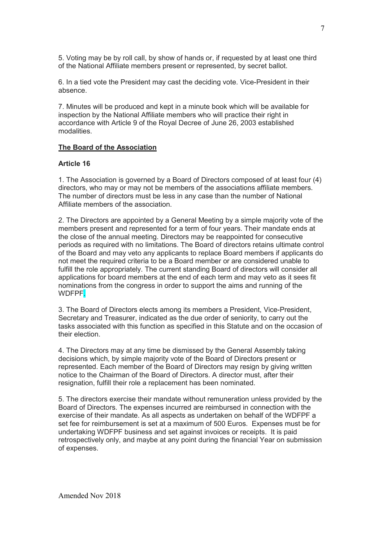5. Voting may be by roll call, by show of hands or, if requested by at least one third of the National Affiliate members present or represented, by secret ballot.

6. In a tied vote the President may cast the deciding vote. Vice-President in their absence.

7. Minutes will be produced and kept in a minute book which will be available for inspection by the National Affiliate members who will practice their right in accordance with Article 9 of the Royal Decree of June 26, 2003 established modalities.

#### **The Board of the Association**

#### **Article 16**

1. The Association is governed by a Board of Directors composed of at least four (4) directors, who may or may not be members of the associations affiliate members. The number of directors must be less in any case than the number of National Affiliate members of the association.

2. The Directors are appointed by a General Meeting by a simple majority vote of the members present and represented for a term of four years. Their mandate ends at the close of the annual meeting. Directors may be reappointed for consecutive periods as required with no limitations. The Board of directors retains ultimate control of the Board and may veto any applicants to replace Board members if applicants do not meet the required criteria to be a Board member or are considered unable to fulfill the role appropriately. The current standing Board of directors will consider all applications for board members at the end of each term and may veto as it sees fit nominations from the congress in order to support the aims and running of the WDFPF.

3. The Board of Directors elects among its members a President, Vice-President, Secretary and Treasurer, indicated as the due order of seniority, to carry out the tasks associated with this function as specified in this Statute and on the occasion of their election.

4. The Directors may at any time be dismissed by the General Assembly taking decisions which, by simple majority vote of the Board of Directors present or represented. Each member of the Board of Directors may resign by giving written notice to the Chairman of the Board of Directors. A director must, after their resignation, fulfill their role a replacement has been nominated.

5. The directors exercise their mandate without remuneration unless provided by the Board of Directors. The expenses incurred are reimbursed in connection with the exercise of their mandate. As all aspects as undertaken on behalf of the WDFPF a set fee for reimbursement is set at a maximum of 500 Euros. Expenses must be for undertaking WDFPF business and set against invoices or receipts. It is paid retrospectively only, and maybe at any point during the financial Year on submission of expenses.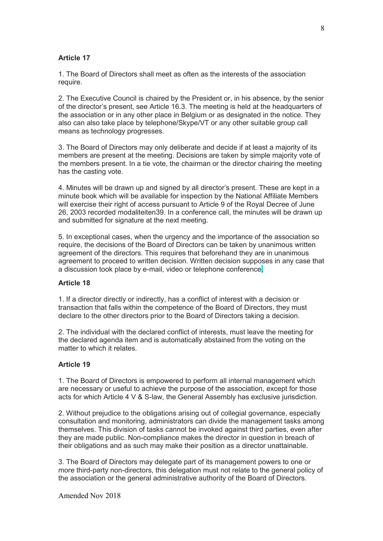#### **Article 17**

1. The Board of Directors shall meet as often as the interests of the association require.

2. The Executive Council is chaired by the President or, in his absence, by the senior of the director's present, see Article 16.3. The meeting is held at the headquarters of the association or in any other place in Belgium or as designated in the notice. They also can also take place by telephone/Skype/VT or any other suitable group call means as technology progresses.

3. The Board of Directors may only deliberate and decide if at least a majority of its members are present at the meeting. Decisions are taken by simple majority vote of the members present. In a tie vote, the chairman or the director chairing the meeting has the casting vote.

4. Minutes will be drawn up and signed by all director's present. These are kept in a minute book which will be available for inspection by the National Affiliate Members will exercise their right of access pursuant to Article 9 of the Royal Decree of June 26, 2003 recorded modaliteiten39. In a conference call, the minutes will be drawn up and submitted for signature at the next meeting.

5. In exceptional cases, when the urgency and the importance of the association so require, the decisions of the Board of Directors can be taken by unanimous written agreement of the directors. This requires that beforehand they are in unanimous agreement to proceed to written decision. Written decision supposes in any case that a discussion took place by e-mail, video or telephone conference.

#### **Article 18**

1. If a director directly or indirectly, has a conflict of interest with a decision or transaction that falls within the competence of the Board of Directors, they must declare to the other directors prior to the Board of Directors taking a decision.

2. The individual with the declared conflict of interests, must leave the meeting for the declared agenda item and is automatically abstained from the voting on the matter to which it relates.

#### **Article 19**

1. The Board of Directors is empowered to perform all internal management which are necessary or useful to achieve the purpose of the association, except for those acts for which Article 4 V & S-law, the General Assembly has exclusive jurisdiction.

2. Without prejudice to the obligations arising out of collegial governance, especially consultation and monitoring, administrators can divide the management tasks among themselves. This division of tasks cannot be invoked against third parties, even after they are made public. Non-compliance makes the director in question in breach of their obligations and as such may make their position as a director unattainable.

3. The Board of Directors may delegate part of its management powers to one or more third-party non-directors, this delegation must not relate to the general policy of the association or the general administrative authority of the Board of Directors.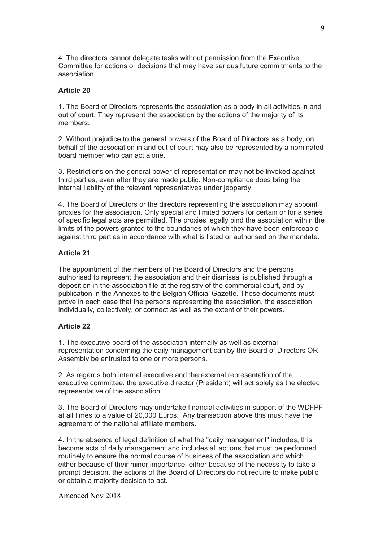4. The directors cannot delegate tasks without permission from the Executive Committee for actions or decisions that may have serious future commitments to the association.

#### **Article 20**

1. The Board of Directors represents the association as a body in all activities in and out of court. They represent the association by the actions of the majority of its members.

2. Without prejudice to the general powers of the Board of Directors as a body, on behalf of the association in and out of court may also be represented by a nominated board member who can act alone.

3. Restrictions on the general power of representation may not be invoked against third parties, even after they are made public. Non-compliance does bring the internal liability of the relevant representatives under jeopardy.

4. The Board of Directors or the directors representing the association may appoint proxies for the association. Only special and limited powers for certain or for a series of specific legal acts are permitted. The proxies legally bind the association within the limits of the powers granted to the boundaries of which they have been enforceable against third parties in accordance with what is listed or authorised on the mandate.

## **Article 21**

The appointment of the members of the Board of Directors and the persons authorised to represent the association and their dismissal is published through a deposition in the association file at the registry of the commercial court, and by publication in the Annexes to the Belgian Official Gazette. Those documents must prove in each case that the persons representing the association, the association individually, collectively, or connect as well as the extent of their powers.

## **Article 22**

1. The executive board of the association internally as well as external representation concerning the daily management can by the Board of Directors OR Assembly be entrusted to one or more persons.

2. As regards both internal executive and the external representation of the executive committee, the executive director (President) will act solely as the elected representative of the association.

3. The Board of Directors may undertake financial activities in support of the WDFPF at all times to a value of 20,000 Euros. Any transaction above this must have the agreement of the national affiliate members.

4. In the absence of legal definition of what the "daily management" includes, this become acts of daily management and includes all actions that must be performed routinely to ensure the normal course of business of the association and which, either because of their minor importance, either because of the necessity to take a prompt decision, the actions of the Board of Directors do not require to make public or obtain a majority decision to act.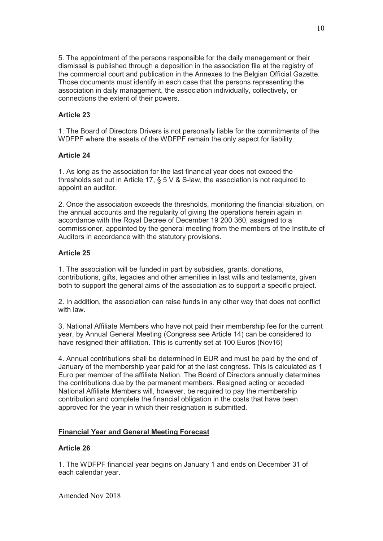5. The appointment of the persons responsible for the daily management or their dismissal is published through a deposition in the association file at the registry of the commercial court and publication in the Annexes to the Belgian Official Gazette. Those documents must identify in each case that the persons representing the association in daily management, the association individually, collectively, or connections the extent of their powers.

#### **Article 23**

1. The Board of Directors Drivers is not personally liable for the commitments of the WDFPF where the assets of the WDFPF remain the only aspect for liability.

#### **Article 24**

1. As long as the association for the last financial year does not exceed the thresholds set out in Article 17, § 5 V & S-law, the association is not required to appoint an auditor.

2. Once the association exceeds the thresholds, monitoring the financial situation, on the annual accounts and the regularity of giving the operations herein again in accordance with the Royal Decree of December 19 200 360, assigned to a commissioner, appointed by the general meeting from the members of the Institute of Auditors in accordance with the statutory provisions.

#### **Article 25**

1. The association will be funded in part by subsidies, grants, donations, contributions, gifts, legacies and other amenities in last wills and testaments, given both to support the general aims of the association as to support a specific project.

2. In addition, the association can raise funds in any other way that does not conflict with law.

3. National Affiliate Members who have not paid their membership fee for the current year, by Annual General Meeting (Congress see Article 14) can be considered to have resigned their affiliation. This is currently set at 100 Euros (Nov16)

4. Annual contributions shall be determined in EUR and must be paid by the end of January of the membership year paid for at the last congress. This is calculated as 1 Euro per member of the affiliate Nation. The Board of Directors annually determines the contributions due by the permanent members. Resigned acting or acceded National Affiliate Members will, however, be required to pay the membership contribution and complete the financial obligation in the costs that have been approved for the year in which their resignation is submitted.

#### **Financial Year and General Meeting Forecast**

#### **Article 26**

1. The WDFPF financial year begins on January 1 and ends on December 31 of each calendar year.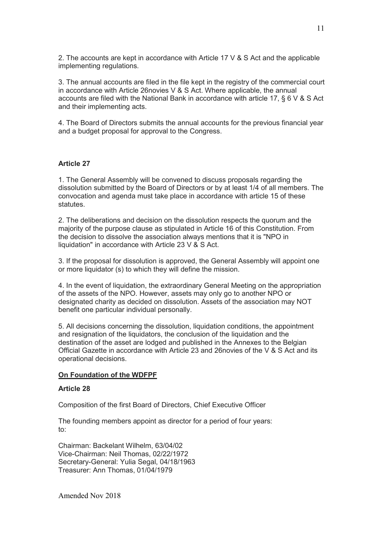2. The accounts are kept in accordance with Article 17 V & S Act and the applicable implementing regulations.

3. The annual accounts are filed in the file kept in the registry of the commercial court in accordance with Article 26novies V & S Act. Where applicable, the annual accounts are filed with the National Bank in accordance with article 17, § 6 V & S Act and their implementing acts.

4. The Board of Directors submits the annual accounts for the previous financial year and a budget proposal for approval to the Congress.

#### **Article 27**

1. The General Assembly will be convened to discuss proposals regarding the dissolution submitted by the Board of Directors or by at least 1/4 of all members. The convocation and agenda must take place in accordance with article 15 of these statutes.

2. The deliberations and decision on the dissolution respects the quorum and the majority of the purpose clause as stipulated in Article 16 of this Constitution. From the decision to dissolve the association always mentions that it is "NPO in liquidation" in accordance with Article 23 V & S Act.

3. If the proposal for dissolution is approved, the General Assembly will appoint one or more liquidator (s) to which they will define the mission.

4. In the event of liquidation, the extraordinary General Meeting on the appropriation of the assets of the NPO. However, assets may only go to another NPO or designated charity as decided on dissolution. Assets of the association may NOT benefit one particular individual personally.

5. All decisions concerning the dissolution, liquidation conditions, the appointment and resignation of the liquidators, the conclusion of the liquidation and the destination of the asset are lodged and published in the Annexes to the Belgian Official Gazette in accordance with Article 23 and 26novies of the V & S Act and its operational decisions.

#### **On Foundation of the WDFPF**

#### **Article 28**

Composition of the first Board of Directors, Chief Executive Officer

The founding members appoint as director for a period of four years: to:

Chairman: Backelant Wilhelm, 63/04/02 Vice-Chairman: Neil Thomas, 02/22/1972 Secretary-General: Yulia Segal, 04/18/1963 Treasurer: Ann Thomas, 01/04/1979